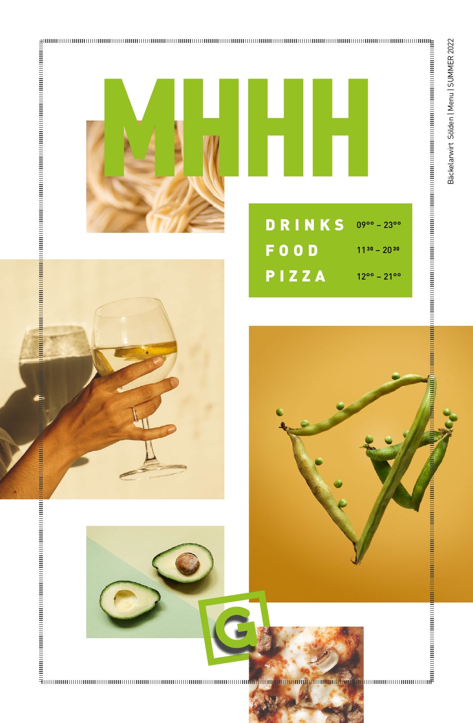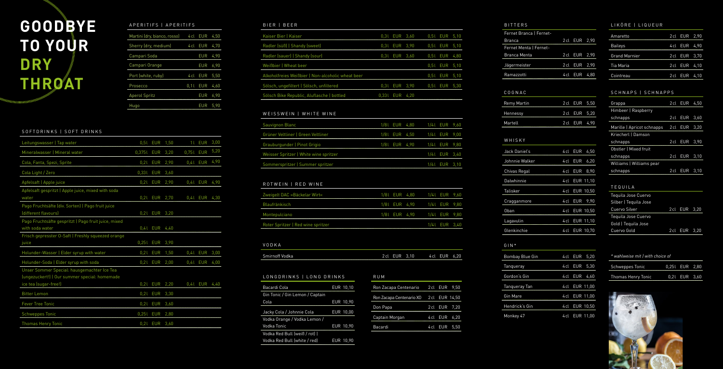#### SOFTDRINKS | SOFT DRINKS

| Leitungswasser   Tap water                                                                                            |            | 0,5L EUR   | 1,50 | 11        | <b>EUR</b> | 3,00 |
|-----------------------------------------------------------------------------------------------------------------------|------------|------------|------|-----------|------------|------|
| Mineralwasser   Mineral water                                                                                         | 0,3751 EUR |            | 3,20 | 0,751 EUR |            | 5,20 |
| Cola, Fanta, Spezi, Sprite                                                                                            | 0,21       | <b>EUR</b> | 2,90 |           | 0,41 EUR   | 4,90 |
| Cola Light / Zero                                                                                                     | 0,331      | <b>EUR</b> | 3,60 |           |            |      |
| Apfelsaft   Apple juice                                                                                               |            | $0,21$ EUR | 2,90 |           | 0,41 EUR   | 4,90 |
| Apfelsaft gespritzt   Apple juice, mixed with soda<br>water                                                           |            | $0,21$ EUR | 2,70 |           | 0,41 EUR   | 4,30 |
| Pago Fruchtsäfte (div. Sorten)   Pago fruit juice<br>(different flavours)                                             |            | 0,21 EUR   | 3,20 |           |            |      |
| Pago Fruchtsäfte gespritzt   Pago fruit juice, mixed<br>with soda water                                               |            | $0,41$ EUR | 4,40 |           |            |      |
| Frisch gepresster O-Saft   Freshly squeezed orange<br>juice                                                           | 0,251      | <b>EUR</b> | 3,90 |           |            |      |
| Holunder-Wasser   Elder syrup with water                                                                              |            | $0,21$ EUR | 1,50 |           | $0,41$ EUR | 3,00 |
| Holunder-Soda   Elder syrup with soda                                                                                 |            | $0,21$ EUR | 2,00 |           | 0,41 EUR   | 4,00 |
| Unser Sommer Special: hausgemachter Ice Tea<br>(ungezuckert!)   Our summer special: homemade<br>ice tea (sugar-free!) | 0,21       | <b>EUR</b> | 2,20 |           | 0,41 EUR   | 4,40 |
| <b>Bitter Lemon</b>                                                                                                   | 0,21       | <b>EUR</b> | 3,30 |           |            |      |
| <b>Fever Tree Tonic</b>                                                                                               | 0,21       | <b>EUR</b> | 3,60 |           |            |      |
| <b>Schweppes Tonic</b>                                                                                                | 0,251      | <b>EUR</b> | 2,80 |           |            |      |
| <b>Thomas Henry Tonic</b>                                                                                             |            | $0,21$ EUR | 3,60 |           |            |      |

#### BIER | BEER

| Kaiser Bier   Kaiser                              |                | 0,31 EUR 3,60 |               | 0.5L EUR 5.10 |  |
|---------------------------------------------------|----------------|---------------|---------------|---------------|--|
| Radler (süß)   Shandy (sweet)                     |                | 0.3L EUR 3.90 |               | 0,51 EUR 5,10 |  |
| Radler (sauer)   Shandy (sour)                    |                | 0,31 EUR 3,60 |               | 0.5L EUR 4,80 |  |
| Weißbier   Wheat beer                             |                |               |               | 0.51 EUR 5.10 |  |
| Alkoholfreies Weißbier   Non-alcoholic wheat beer |                |               |               | 0.51 EUR 5.10 |  |
| Sölsch, ungefiltert   Sölsch, unfiltered          |                |               | 0.31 EUR 3.90 | 0.5L EUR 5.30 |  |
| Sölsch Bike Republic, Aluflasche   bottled        | 0,331 EUR 4,20 |               |               |               |  |

| APERITIFS   APERITIFS        |      |            |      |
|------------------------------|------|------------|------|
| Martini (dry, bianco, rosso) | 4 cl | EUR        | 4.50 |
| Sherry (dry, medium)         | 4 cl | <b>EUR</b> | 4.70 |
| Campari Soda                 |      | EUR        | 4.90 |
| Campari Orange               |      | EUR        | 6,90 |
| Port (white, ruby)           | 4 cl | <b>EUR</b> | 5,50 |
| Prosecco                     | 0.11 | EUR        | 4.60 |
| <b>Aperol Spritz</b>         |      | EUR        | 6,90 |
| Hugo                         |      | EUR        | 5.90 |

#### WEISSWEIN | WHITE WINE

l EUR 9,00

9,80

| Sauvignon Blanc                        |  | 1/81 EUR 4,80 1/41 EUR 9,60 |               |  |
|----------------------------------------|--|-----------------------------|---------------|--|
| Grüner Veltliner   Green Veltliner     |  | 1/81 EUR 4,50 1/41 EUR 9,00 |               |  |
| Grauburgunder   Pinot Grigio           |  | 1/81 EUR 4,90 1/41 EUR 9,80 |               |  |
| Weisser Spritzer   White wine spritzer |  |                             | 1/4L EUR 3,40 |  |
| Sommerspritzer   Summer spritzer       |  |                             | 1/4L EUR 3,10 |  |

## ROTWEIN | RED WINE

# **GOODBYE TO YOUR DRY THROAT**

| Zweigelt DAC »Bäckelar Wirt«       |  | 1/81 EUR 4,80  1/41 EUR 9,60 |               |  |
|------------------------------------|--|------------------------------|---------------|--|
| Blaufränkisch                      |  | 1/8 LEUR 4,90 1/4 LEUR 9,80  |               |  |
| Montepulciano                      |  | 1/8 LEUR 4,90 1/4 LEUR 9,80  |               |  |
| Roter Spritzer   Red wine spritzer |  |                              | 1/4L EUR 3,40 |  |

# LONGDRINKS | LONG DRINKS

| Bacardi Cola                    | <b>EUR 10.10</b> |
|---------------------------------|------------------|
| Gin Tonic / Gin Lemon / Captain |                  |
| Cola                            | EUR 10,90        |
| Jacky Cola / Johnnie Cola       | <b>EUR 10,00</b> |
| Vodka Orange / Vodka Lemon /    |                  |
| Vodka Tonic                     | <b>EUR 10.90</b> |
| Vodka Red Bull (weiß / rot)     |                  |
| Vodka Red Bull (white / red)    | EUR 10,90        |

| R U M                    |                |               |
|--------------------------|----------------|---------------|
| Ron Zacapa Centenario    |                | 2 cl EUR 9,50 |
| Ron Zacapa Centenario XO | 2 cl EUR 14,50 |               |
| Don Papa                 | 2 cl EUR 7,20  |               |
| Captain Morgan           | 4 cl EUR 6,20  |               |
| Bacardi                  | 4cl EUR        | 5.50          |

 $5,10$ 

 $5,10$ 

 $4,80$ 

 $\frac{5,10}{ }$ 

9,60

#### LIKÖRE | LIQUEUR

| Amaretto             | 2cl EUR 2,90  |  |
|----------------------|---------------|--|
| <b>Baileys</b>       | 4 cl EUR 4.90 |  |
| <b>Grand Marnier</b> | 2cl EUR 3,70  |  |
| Tia Maria            | 2cl EUR 4,10  |  |
| Cointreau            | 2 cl EUR 4.10 |  |

## SCHNAPS | SCHNAPPS

| Grappa                     | 2 cl EUR 4.50 |      |
|----------------------------|---------------|------|
| Himbeer   Raspberry        |               |      |
| schnapps                   | 2cl EUR       | 3.60 |
| Marille   Apricot schnapps | 2cl EUR       | 3.20 |
| Kriecherl   Damson         |               |      |
| schnapps                   | 2cl EUR 3.90  |      |
| Obstler   Mixed fruit      |               |      |
| schnapps                   | 2 cl EUR 3.10 |      |
| Williams   Williams pear   |               |      |
| schnapps                   | 2 cl EUR 3.10 |      |
|                            |               |      |

| <b>BITTERS</b>          |        |            |       |
|-------------------------|--------|------------|-------|
| Fernet Branca   Fernet- |        |            |       |
| Branca                  | 2 cl   | <b>EUR</b> | 2,90  |
| Fernet Menta I Fernet-  |        |            |       |
| <b>Branca Menta</b>     | 2 cl   | EUR        | 2,90  |
| Jägermeister            | 2 cl   | EUR        | 2,90  |
| Ramazzotti              | 4 cl   | <b>EUR</b> | 4,80  |
|                         |        |            |       |
| COGNAC                  |        |            |       |
| Remy Martin             | 2 cl   | <b>EUR</b> | 5,50  |
| Hennessy                | 2 cl   | <b>EUR</b> | 5,20  |
| Martell                 | 2 cl   | <b>EUR</b> | 4,90  |
|                         |        |            |       |
| WHISKY                  |        |            |       |
| Jack Daniel's           | 4 cl   | EUR        | 6,50  |
| Johnnie Walker          | 4 cl   | <b>EUR</b> | 6,20  |
| Chivas Regal            | 4 cl   | <b>EUR</b> | 8,90  |
| Dalwhinnie              | 4 cl   | EUR        | 11,10 |
| Talisker                | 4 cl   | <b>EUR</b> | 10,50 |
| Cragganmore             | 4 cl   | <b>EUR</b> | 9,90  |
| Oban                    | 4 cl   | EUR        | 10,50 |
| Lagavulin               | 4 cl   | EUR        | 11,10 |
| Glenkinchie             | 4 cl   | EUR        | 10,70 |
|                         |        |            |       |
| GIN*                    |        |            |       |
| <b>Bombay Blue Gin</b>  | 4 cl   | <b>EUR</b> | 5,20  |
| Tanqueray               | 4 cl   | <b>EUR</b> | 5,30  |
| Gordon's Gin            | $4$ cl | <b>EUR</b> | 4,60  |
| Tanqueray Tan           | 4 cl   | <b>EUR</b> | 11,00 |
| Gin Mare                | 4 cl   | <b>EUR</b> | 11,00 |
| Hendrick's Gin          | 4 cl   | EUR        | 10,50 |
| Monkey 47               | 4 cl   | EUR        | 11,00 |

#### VODKA

| Smirnoff Vodka<br>4 cl EUR 6.20<br>2cl EUR 3.10 |
|-------------------------------------------------|
|-------------------------------------------------|

#### TEQUILA

| Tequila Jose Cuervo   |               |  |
|-----------------------|---------------|--|
| Silber   Tequila Jose |               |  |
| Cuervo Silver         | 2 cl EUR 3,20 |  |
| Tequila Jose Cuervo   |               |  |
| Gold   Tequila Jose   |               |  |
| Cuervo Gold           | 2 cl EUR 3,20 |  |

| * wahlweise mit   with choice of |                |               |  |
|----------------------------------|----------------|---------------|--|
| Schweppes Tonic                  | 0.25L EUR 2.80 |               |  |
| Thomas Henry Tonic               |                | 0.2L EUR 3.60 |  |

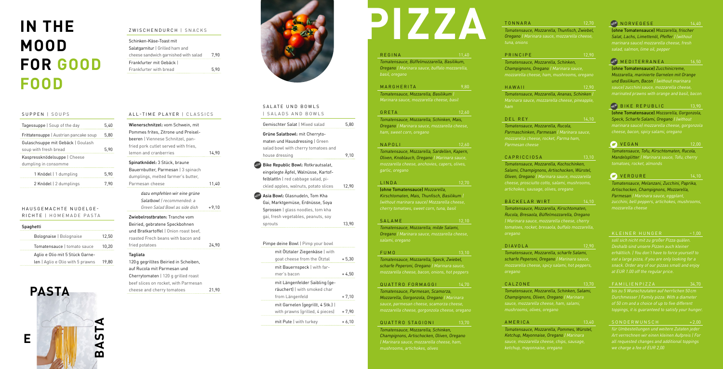#### SUPPEN | SOUPS

| Tagessuppe   Soup of the day                               | 5.40 |
|------------------------------------------------------------|------|
| Frittatensuppe   Austrian pancake soup                     | 5.80 |
| Gulaschsuppe mit Gebäck   Goulash<br>soup with fresh bread | 5.90 |
| Kaspressknödelsuppe   Cheese<br>dumpling in consomme       |      |
| 1 Knödel   1 dumpling                                      | 5.90 |
| 2 Knödel   2 dumplings                                     | 7.90 |

#### ZWISCHENDURCH | SNACKS

| Schinken-Käse-Toast mit              |      |
|--------------------------------------|------|
| Salatgarnitur   Grilled ham and      |      |
| cheese sandwich garnished with salad | 7.90 |
| Frankfurter mit Gebäck I             |      |
| Frankfurter with bread               | 5.90 |

#### HAUSGEMACHTE NUDELGE - RICHTE | HOMEMADE PASTA

| Spaghetti                        |       |  |  |
|----------------------------------|-------|--|--|
| Bolognaise   Bolognaise          | 12,50 |  |  |
| Tomatensauce I tomato sauce      | 10.20 |  |  |
| Aglio e Olio mit 5 Stück Garne-  |       |  |  |
| len   Aglio e Olio with 5 prawns | 19.80 |  |  |

# **IN THE MOOD FOR GOOD FOOD**

#### SALATE UND BOWLS | SALADS AND BOWLS

**NE** 

**NE** 

| Gemischter Salat   Mixed salad                                                                                                                            | 5,80    |
|-----------------------------------------------------------------------------------------------------------------------------------------------------------|---------|
| Grüne Salatbowl: mit Cherryto-<br>maten und Hausdressing   Green<br>salad bowl with cherry tomatoes and<br>house dressing                                 | 9,10    |
| Bike Republic Bowl: Rotkrautsalat.<br>eingelegte Äpfel, Walnüsse, Kartof-<br>felblattln   red cabbage salad, pi-<br>ckled apples, walnuts, potato slices  | 12,90   |
| Asia Bowl: Glasnudeln, Tom Kha<br>Gai, Marktgemüse, Erdnüsse, Soya<br>Sprossen   glass noodles, tom kha<br>gai, fresh vegetables, peanuts, soy<br>sprouts | 13.90   |
| Pimpe deine Bowl   Pimp your bowl                                                                                                                         |         |
| mit Otztaler Ziegenkäse   with<br>goat cheese from the Otztal                                                                                             | $+5,30$ |
| mit Bauernspeck   with far-<br>mer's bacon                                                                                                                | $+4.50$ |
| mit Längenfelder Saibling (ge-                                                                                                                            |         |

PRINCIPE 12,90 *Tomatensauce, Mozzarella, Schinken, Champignons, Oregano | Marinara sauce, mozzarella cheese, ham, mushrooms, oregano*

räuchert) | with smoked char

mit Garnelen (gegrillt, 4 Stk.) |

from Längenfeld  $+ 7,10$ 

with prawns (grilled, 4 pieces)  $+7,90$ mit Pute  $|$  with turkey  $+6,10$ 

# **PIZZA TONNARA** 12,70<br> **PIZZALE 14,40**<br> **PIZZARELIA, Thunfisch, Zwiebel, Channel Mozzarella, frischer PIZZARELIA, frischer PIZZARELIA**, frischer **PIZZARELIA**, frischer **PIZZARELIA**, frischer **PIZZARELIA**, frischer **P**

#### REGINA 11,40

|   | <b>PASTA</b> |              |
|---|--------------|--------------|
|   |              |              |
| Е |              | <b>BASTA</b> |
|   |              |              |

ALL-TIME PLAYER | CLASSICS

Wienerschnitzel: vom Schwein, mit Pommes frites, Zitrone und Preiselbeeren | Viennese Schnitzel, panfried pork cutlet served with fries,

> BÄCKELAR WIRT 14,10 *Tomatensauce, Mozzarella, Kirschtomaten, Rucola, Bresaola, Büffelmozzarella, Oregano | Marinara sauce, mozzarella cheese, cherry tomatoes, rocket, bresaola, buffalo mozzarella, oregano*

lemon and cranberries 14,90

Parmesan cheese 11,40

fried potatoes 24,90

CALZONE 13,70 *Tomatensauce, Mozzarella, Schinken, Salami,* 

Spinatknödel: 3 Stück, braune Bauernbutter, Parmesan | 3 spinach dumplings, melted farmer's butter,

> *dazu empfehlen wir eine grüne Salatbowl | recommended: a*

Zwiebelrostbraten: Tranche vom Beiried, gebratene Speckbohnen und Bratkartoffel | Onion roast beef, roasted Frech beans with bacon and

Tagliata



120g gegrilltes Beiried in Scheiben, auf Rucola mit Parmesan und Cherrytomaten | 120 g grilled roast beef slices on rocket, with Parmesan

cheese and cherry tomatoes 21,90

*Green Salad Bowl as side dish* +9,10

#### TONNARA 12,70 *Tomatensauce, Mozzarella, Thunfisch, Zwiebel, Oregano | Marinara sauce, mozzarella cheese, tuna, onions*

HAWAII 12,90 *Tomatensauce, Mozzarella, Ananas, Schinken | Marinara sauce, mozzarella cheese, pineapple,* 

DEL REY 14,10

*Tomatensauce, Mozzarella, Rucola, Parmaschinken, Parmesan | Marinara sauce, mozzarella cheese, rocket, Parma ham, Parmesan cheese*

CAPRICCIOSA 13,10

*Tomatensauce, Mozzarella, Kochschinken, Salami, Champignons, Artischocken, Würstel, Oliven, Oregano | Marinara sauce, mozzarella cheese, prosciutto cotto, salami, mushrooms, artichokes, sausage, olives, oregano*

DIAVOLA 12,90 *Tomatensauce, Mozzarella, scharfe Salami, scharfe Peperoni, Oregano | Marinara sauce, mozzarella cheese, spicy salami, hot peppers, oregano*

*Champignons, Oliven, Oregano | Marinara mushrooms, olives, oregano*

AMERICA 13,40

*Tomatensauce, Mozzarella, Pommes, Würstel, Ketchup, Mayonnaise, Oregano | Marinara sauce, mozzarella cheese, chips, sausage, ketchup, mayonnaise, oregano*

NORVEGESE

*Tomatensauce, Büffelmozzarella, Basilikum, Oregano | Marinara sauce, buffalo mozzarella, basil, oregano*

#### MARGHERITA 9.80

*Tomatensauce, Mozzarella, Basilikum | Marinara sauce, mozzarella cheese, basil*

#### GRETA 12,60

*Tomatensauce, Mozzarella, Schinken, Mais, Oregano | Marinara sauce, mozzarella cheese, ham, sweet corn, oregano*

#### NAPOLI 12,60

*Tomatensauce, Mozzarella, Sardellen, Kapern, Oliven, Knoblauch, Oregano | Marinara sauce, garlic, oregano*

#### LINDA 12,70

(ohne Tomatensauce) *Mozzarella, Kirschtomaten, Mais, Thunfisch, Basilikum | (without marinara sauce) Mozzarella cheese, cherry tomatoes, sweet corn, tuna, basil*

#### SALAME 12.10

*Tomatensauce, Mozzarella, milde Salami, Oregano | Marinara sauce, mozzarella cheese, salami, oregano*

#### FUMO 13,10

*Tomatensauce, Mozzarella, Speck, Zwiebel, scharfe Peperoni, Oregano | Marinara sauce, mozzarella cheese, bacon, onions, hot peppers*

#### QUATTRO FORMAGGI 14,70

*Tomatensauce, Parmesan, Scamorza, Mozzarella, Gorgonzola, Oregano | Marinara mozzarella cheese, gorgonzola cheese, oregano*

#### QUATTRO STAGIONI 13.70

*Tomatensauce, Mozzarella, Schinken, Champignons, Artischocken, Oliven, Oregano mushrooms, artichokes, olives*



(ohne Tomatensauce) *Mozzarella, frischer Salat, Lachs, Limettenöl, Pfeffer | (without marinara sauce) mozzarella cheese, fresh salad, salmon, lime oil, pepper*

#### NEW MEDITERRANEA 16,50

(ohne Tomatensauce) *Zucchinicreme, Mozzarella, marinierte Garnelen mit Orange und Basilikum, Bacon | (without marinara marinated prawns with orange and basil, bacon*

## <sub>N</sub>E<sup>W</sup> BIKE REPUBLIC 13,90

(ohne Tomatensauce) *Mozzarella, Gorgonzola, Speck, Scharfe Salami, Oregano | (without marinara sauce) mozzarella cheese, gorgonzola cheese, bacon, spicy salami, oregano*

#### **VEGAN** 12,00

*Tomatensauce, Tofu, Kirschtomaten, Rucola, Mandelsplitter | Marinara sauce, Tofu, cherry tomatoes, rocket, almonds*

**VERDURE** 14,10

*Tomatensauce, Melanzani, Zucchini, Paprika, Artischocken, Champignons, Mozzarella, Parmesan | Marinara sauce, eggplant, zucchini, bell peppers, artichokes, mushrooms, mozzarella cheese*

*Deshalb sind unsere Pizzen auch kleiner erhältlich. | You don't have to force yourself to eat a large pizza, if you are only looking for a snack. Order any of our pizzas small and enjoy at EUR 1.00 off the regular price.*

#### FAMILIENPIZZA 34,70

*bis zu 5 Wunschzutaten auf herrlichen 50 cm Durchmesser | Family pizza: With a diameter toppings, it is guaranteed to satisfy your hunger.*

## *für Umbestellungen und weitere Zutaten jeder*

*Art verrechnen wir einen kleinen Aufpreis | For all requested changes and additional toppings we charge a fee of EUR 2,00*